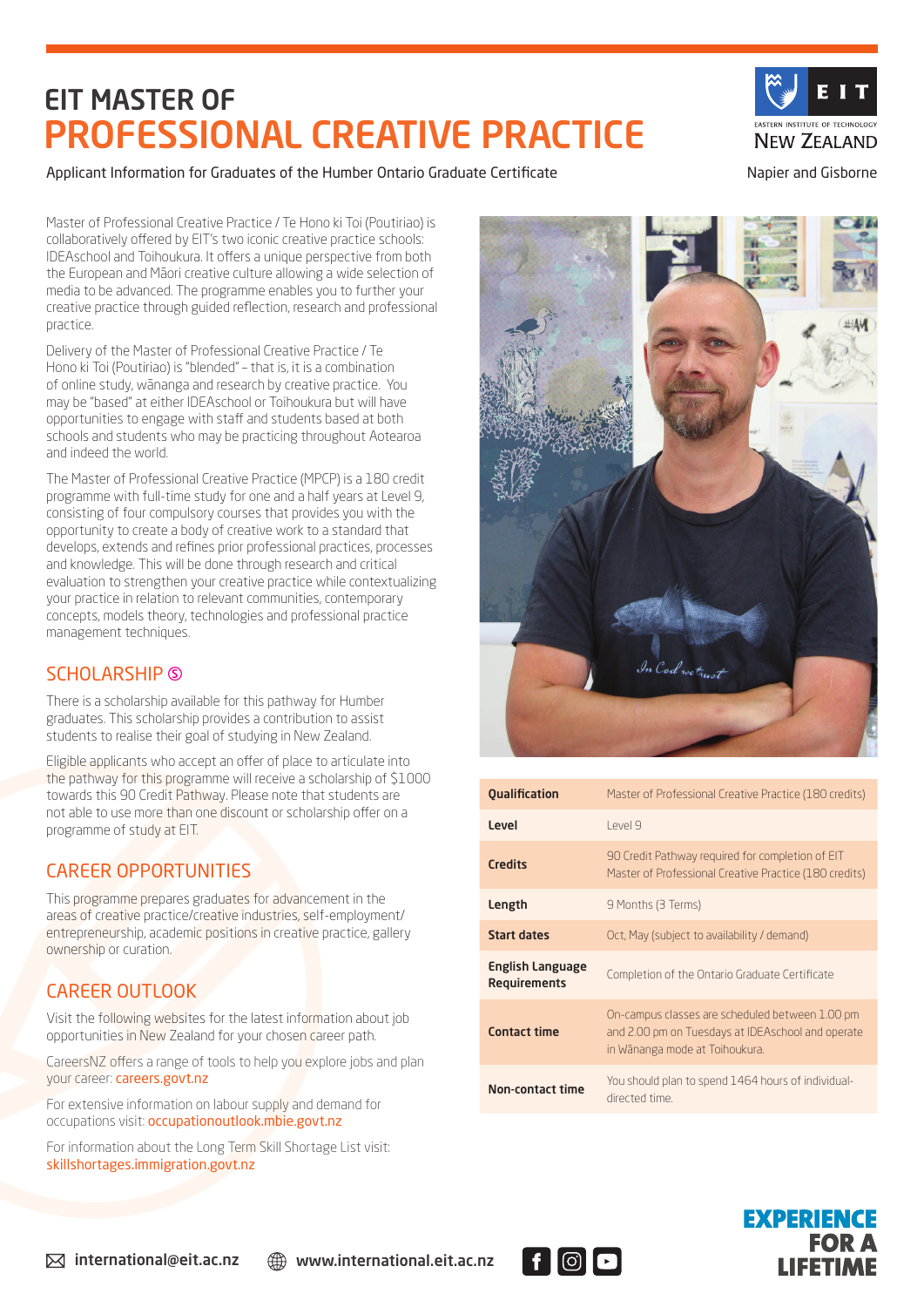# EIT MASTER OF PROFESSIONAL CREATIVE PRACTICE

EASTERN INSTITUTE OF TECHNOLOGY **NEW ZEALAND** 

### Applicant Information for Graduates of the Humber Ontario Graduate Certificate Napier and Gisborne

Master of Professional Creative Practice / Te Hono ki Toi (Poutiriao) is collaboratively offered by EIT's two iconic creative practice schools: IDEAschool and Toihoukura. It offers a unique perspective from both the European and Māori creative culture allowing a wide selection of media to be advanced. The programme enables you to further your creative practice through guided reflection, research and professional practice.

Delivery of the Master of Professional Creative Practice / Te Hono ki Toi (Poutiriao) is "blended" – that is, it is a combination of online study, wānanga and research by creative practice. You may be "based" at either IDEAschool or Toihoukura but will have opportunities to engage with staff and students based at both schools and students who may be practicing throughout Aotearoa and indeed the world.

The Master of Professional Creative Practice (MPCP) is a 180 credit programme with full-time study for one and a half years at Level 9, consisting of four compulsory courses that provides you with the opportunity to create a body of creative work to a standard that develops, extends and refines prior professional practices, processes and knowledge. This will be done through research and critical evaluation to strengthen your creative practice while contextualizing your practice in relation to relevant communities, contemporary concepts, models theory, technologies and professional practice management techniques.

### SCHOLARSHIP **S**

There is a scholarship available for this pathway for Humber graduates. This scholarship provides a contribution to assist students to realise their goal of studying in New Zealand.

Eligible applicants who accept an offer of place to articulate into the pathway for this programme will receive a scholarship of \$1000 towards this 90 Credit Pathway. Please note that students are not able to use more than one discount or scholarship offer on a programme of study at EIT.

## CAREER OPPORTUNITIES

This programme prepares graduates for advancement in the areas of creative practice/creative industries, self-employment/ entrepreneurship, academic positions in creative practice, gallery ownership or curation.

## CAREER OUTLOOK

Visit the following websites for the latest information about job opportunities in New Zealand for your chosen career path.

CareersNZ offers a range of tools to help you explore jobs and plan your career: careers.govt.nz

For extensive information on labour supply and demand for occupations visit: occupationoutlook.mbie.govt.nz

For information about the Long Term Skill Shortage List visit: skillshortages.immigration.govt.nz



| <b>Qualification</b>                           | Master of Professional Creative Practice (180 credits)                                                                                 |
|------------------------------------------------|----------------------------------------------------------------------------------------------------------------------------------------|
| Level                                          | l evel 9                                                                                                                               |
| <b>Credits</b>                                 | 90 Credit Pathway required for completion of EIT<br>Master of Professional Creative Practice (180 credits)                             |
| Length                                         | 9 Months (3 Terms)                                                                                                                     |
| <b>Start dates</b>                             | Oct, May (subject to availability / demand)                                                                                            |
| <b>English Language</b><br><b>Requirements</b> | Completion of the Ontario Graduate Certificate                                                                                         |
| <b>Contact time</b>                            | On-campus classes are scheduled between 1.00 pm<br>and 2.00 pm on Tuesdays at IDEAschool and operate<br>in Wānanga mode at Toihoukura. |
| <b>Non-contact time</b>                        | You should plan to spend 1464 hours of individual-<br>directed time.                                                                   |